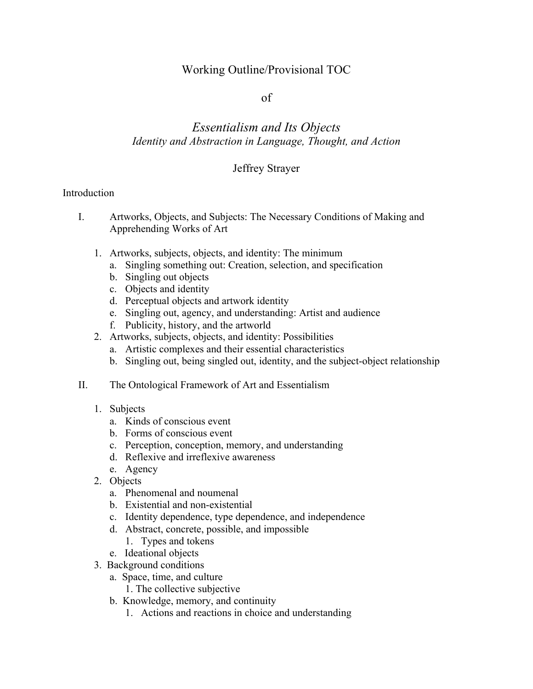## Working Outline/Provisional TOC

### of

# *Essentialism and Its Objects Identity and Abstraction in Language, Thought, and Action*

### Jeffrey Strayer

#### Introduction

- I. Artworks, Objects, and Subjects: The Necessary Conditions of Making and Apprehending Works of Art
	- 1. Artworks, subjects, objects, and identity: The minimum
		- a. Singling something out: Creation, selection, and specification
		- b. Singling out objects
		- c. Objects and identity
		- d. Perceptual objects and artwork identity
		- e. Singling out, agency, and understanding: Artist and audience
		- f. Publicity, history, and the artworld
	- 2. Artworks, subjects, objects, and identity: Possibilities
		- a. Artistic complexes and their essential characteristics
		- b. Singling out, being singled out, identity, and the subject-object relationship
- II. The Ontological Framework of Art and Essentialism
	- 1. Subjects
		- a. Kinds of conscious event
		- b. Forms of conscious event
		- c. Perception, conception, memory, and understanding
		- d. Reflexive and irreflexive awareness
		- e. Agency
	- 2. Objects
		- a. Phenomenal and noumenal
		- b. Existential and non-existential
		- c. Identity dependence, type dependence, and independence
		- d. Abstract, concrete, possible, and impossible
			- 1. Types and tokens
		- e. Ideational objects
	- 3. Background conditions
		- a. Space, time, and culture
			- 1. The collective subjective
		- b. Knowledge, memory, and continuity
			- 1. Actions and reactions in choice and understanding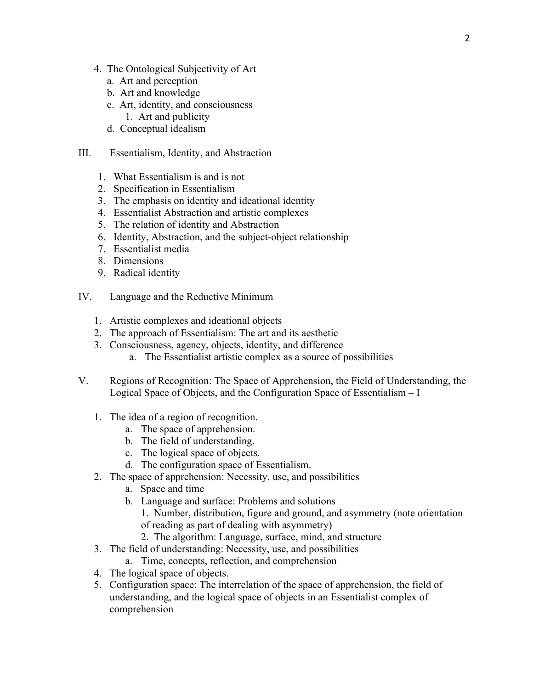- 4. The Ontological Subjectivity of Art
	- a. Art and perception
	- b. Art and knowledge
	- c. Art, identity, and consciousness
		- 1. Art and publicity
	- d. Conceptual idealism
- III. Essentialism, Identity, and Abstraction
	- 1. What Essentialism is and is not
	- 2. Specification in Essentialism
	- 3. The emphasis on identity and ideational identity
	- 4. Essentialist Abstraction and artistic complexes
	- 5. The relation of identity and Abstraction
	- 6. Identity, Abstraction, and the subject-object relationship
	- 7. Essentialist media
	- 8. Dimensions
	- 9. Radical identity
- IV. Language and the Reductive Minimum
	- 1. Artistic complexes and ideational objects
	- 2. The approach of Essentialism: The art and its aesthetic
	- 3. Consciousness, agency, objects, identity, and difference
		- a. The Essentialist artistic complex as a source of possibilities
- V. Regions of Recognition: The Space of Apprehension, the Field of Understanding, the Logical Space of Objects, and the Configuration Space of Essentialism – I
	- 1. The idea of a region of recognition.
		- a. The space of apprehension.
		- b. The field of understanding.
		- c. The logical space of objects.
		- d. The configuration space of Essentialism.
	- 2. The space of apprehension: Necessity, use, and possibilities
		- a. Space and time
		- b. Language and surface: Problems and solutions
			- 1. Number, distribution, figure and ground, and asymmetry (note orientation of reading as part of dealing with asymmetry)
			- 2. The algorithm: Language, surface, mind, and structure
	- 3. The field of understanding: Necessity, use, and possibilities
		- a. Time, concepts, reflection, and comprehension
	- 4. The logical space of objects.
	- 5. Configuration space: The interrelation of the space of apprehension, the field of understanding, and the logical space of objects in an Essentialist complex of comprehension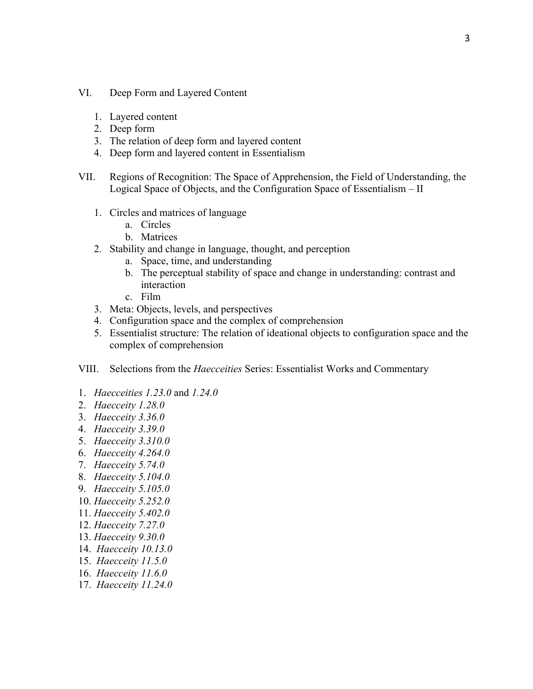- VI. Deep Form and Layered Content
	- 1. Layered content
	- 2. Deep form
	- 3. The relation of deep form and layered content
	- 4. Deep form and layered content in Essentialism
- VII. Regions of Recognition: The Space of Apprehension, the Field of Understanding, the Logical Space of Objects, and the Configuration Space of Essentialism – II
	- 1. Circles and matrices of language
		- a. Circles
		- b. Matrices
	- 2. Stability and change in language, thought, and perception
		- a. Space, time, and understanding
		- b. The perceptual stability of space and change in understanding: contrast and interaction
		- c. Film
	- 3. Meta: Objects, levels, and perspectives
	- 4. Configuration space and the complex of comprehension
	- 5. Essentialist structure: The relation of ideational objects to configuration space and the complex of comprehension
- VIII. Selections from the *Haecceities* Series: Essentialist Works and Commentary
- 1. *Haecceities 1.23.0* and *1.24.0*
- 2. *Haecceity 1.28.0*
- 3. *Haecceity 3.36.0*
- 4. *Haecceity 3.39.0*
- 5. *Haecceity 3.310.0*
- 6. *Haecceity 4.264.0*
- 7. *Haecceity 5.74.0*
- 8. *Haecceity 5.104.0*
- 9. *Haecceity 5.105.0*
- 10. *Haecceity 5.252.0*
- 11. *Haecceity 5.402.0*
- 12. *Haecceity 7.27.0*
- 13. *Haecceity 9.30.0*
- 
- 14. *Haecceity 10.13.0*
- 15. *Haecceity 11.5.0*
- 16. *Haecceity 11.6.0*
- 17. *Haecceity 11.24.0*